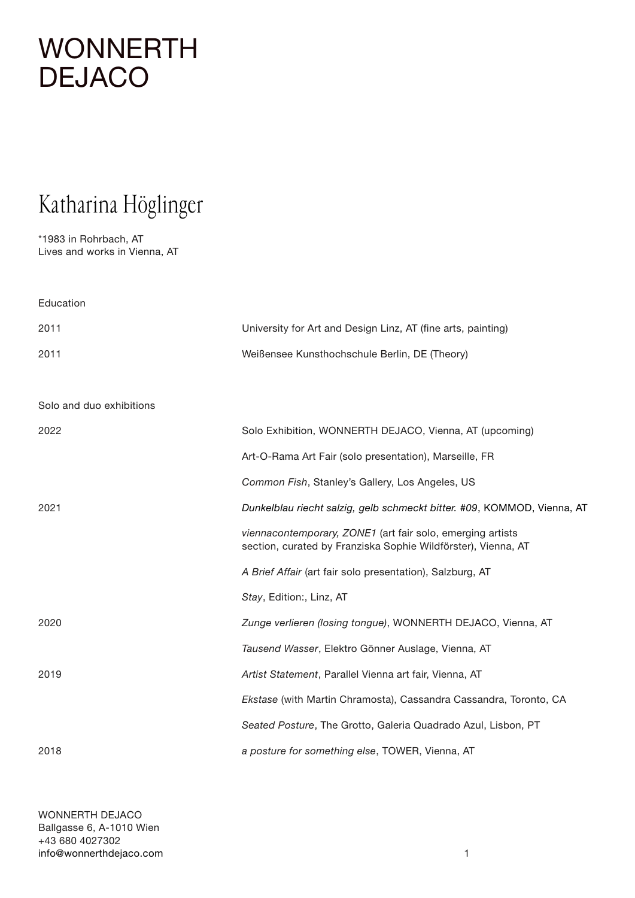#### Katharina Höglinger

\*1983 in Rohrbach, AT Lives and works in Vienna, AT

Education 2011 University for Art and Design Linz, AT (fine arts, painting) 2011 Weißensee Kunsthochschule Berlin, DE (Theory) Solo and duo exhibitions 2022 Solo Exhibition, WONNERTH DEJACO, Vienna, AT (upcoming) Art-O-Rama Art Fair (solo presentation), Marseille, FR *Common Fish*, Stanley's Gallery, Los Angeles, US 2021 *Dunkelblau riecht salzig, gelb schmeckt bitter. #09*, KOMMOD, Vienna, AT *viennacontemporary, ZONE1* (art fair solo, emerging artists section, curated by Franziska Sophie Wildförster), Vienna, AT *A Brief Affair* (art fair solo presentation), Salzburg, AT *Stay*, Edition:, Linz, AT 2020 *Zunge verlieren (losing tongue)*, WONNERTH DEJACO, Vienna, AT *Tausend Wasser*, Elektro Gönner Auslage, Vienna, AT 2019 *Artist Statement*, Parallel Vienna art fair, Vienna, AT *Ekstase* (with Martin Chramosta), Cassandra Cassandra, Toronto, CA *Seated Posture*, The Grotto, Galeria Quadrado Azul, Lisbon, PT 2018 *a posture for something else*, TOWER, Vienna, AT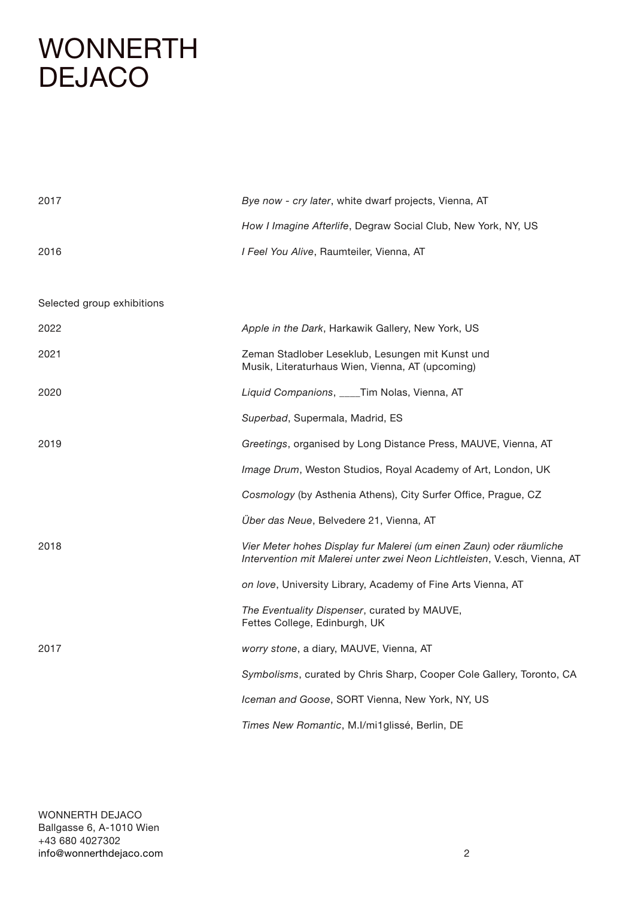| 2017                       | Bye now - cry later, white dwarf projects, Vienna, AT                                                                                            |
|----------------------------|--------------------------------------------------------------------------------------------------------------------------------------------------|
|                            | How I Imagine Afterlife, Degraw Social Club, New York, NY, US                                                                                    |
| 2016                       | I Feel You Alive, Raumteiler, Vienna, AT                                                                                                         |
|                            |                                                                                                                                                  |
| Selected group exhibitions |                                                                                                                                                  |
| 2022                       | Apple in the Dark, Harkawik Gallery, New York, US                                                                                                |
| 2021                       | Zeman Stadlober Leseklub, Lesungen mit Kunst und<br>Musik, Literaturhaus Wien, Vienna, AT (upcoming)                                             |
| 2020                       | Liquid Companions, ___Tim Nolas, Vienna, AT                                                                                                      |
|                            | Superbad, Supermala, Madrid, ES                                                                                                                  |
| 2019                       | Greetings, organised by Long Distance Press, MAUVE, Vienna, AT                                                                                   |
|                            | Image Drum, Weston Studios, Royal Academy of Art, London, UK                                                                                     |
|                            | Cosmology (by Asthenia Athens), City Surfer Office, Prague, CZ                                                                                   |
|                            | Über das Neue, Belvedere 21, Vienna, AT                                                                                                          |
| 2018                       | Vier Meter hohes Display fur Malerei (um einen Zaun) oder räumliche<br>Intervention mit Malerei unter zwei Neon Lichtleisten, V.esch, Vienna, AT |
|                            | on love, University Library, Academy of Fine Arts Vienna, AT                                                                                     |
|                            | The Eventuality Dispenser, curated by MAUVE,<br>Fettes College, Edinburgh, UK                                                                    |
| 2017                       | worry stone, a diary, MAUVE, Vienna, AT                                                                                                          |
|                            | Symbolisms, curated by Chris Sharp, Cooper Cole Gallery, Toronto, CA                                                                             |
|                            | Iceman and Goose, SORT Vienna, New York, NY, US                                                                                                  |
|                            | Times New Romantic, M.I/mi1glissé, Berlin, DE                                                                                                    |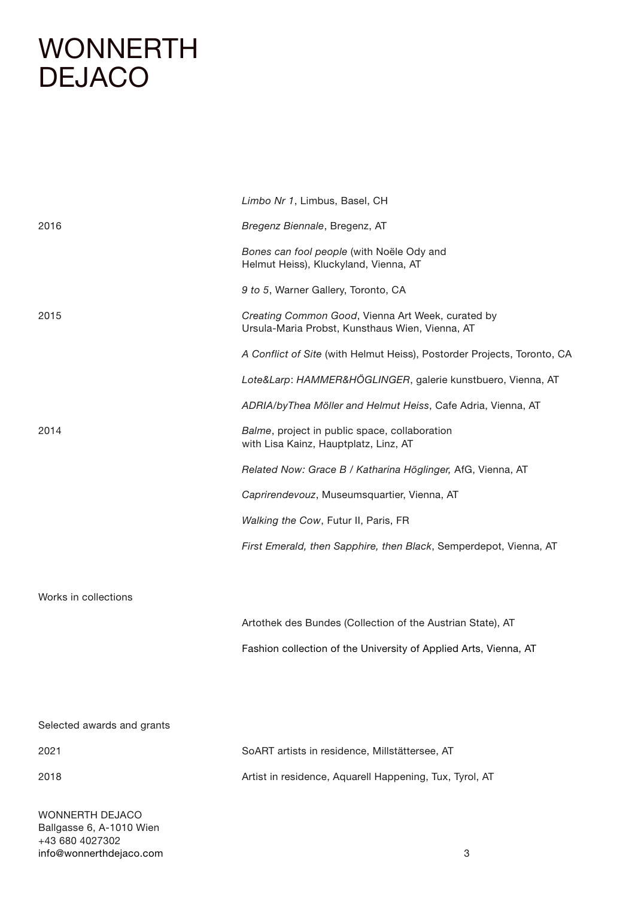|                      | Limbo Nr 1, Limbus, Basel, CH                                                                        |
|----------------------|------------------------------------------------------------------------------------------------------|
| 2016                 | Bregenz Biennale, Bregenz, AT                                                                        |
|                      | Bones can fool people (with Noële Ody and<br>Helmut Heiss), Kluckyland, Vienna, AT                   |
|                      | 9 to 5, Warner Gallery, Toronto, CA                                                                  |
| 2015                 | Creating Common Good, Vienna Art Week, curated by<br>Ursula-Maria Probst, Kunsthaus Wien, Vienna, AT |
|                      | A Conflict of Site (with Helmut Heiss), Postorder Projects, Toronto, CA                              |
|                      | Lote&Larp: HAMMER&HÖGLINGER, galerie kunstbuero, Vienna, AT                                          |
| 2014                 | ADRIA/byThea Möller and Helmut Heiss, Cafe Adria, Vienna, AT                                         |
|                      | Balme, project in public space, collaboration<br>with Lisa Kainz, Hauptplatz, Linz, AT               |
|                      | Related Now: Grace B / Katharina Höglinger, AfG, Vienna, AT                                          |
|                      | Caprirendevouz, Museumsquartier, Vienna, AT                                                          |
|                      | Walking the Cow, Futur II, Paris, FR                                                                 |
|                      | First Emerald, then Sapphire, then Black, Semperdepot, Vienna, AT                                    |
|                      |                                                                                                      |
| Works in collections |                                                                                                      |
|                      | Artothek des Bundes (Collection of the Austrian State), AT                                           |
|                      | Fashion collection of the University of Applied Arts, Vienna, AT                                     |
|                      |                                                                                                      |
|                      |                                                                                                      |

#### Selected awards and grants

2021 SoART artists in residence, Millstättersee, AT 2018 Artist in residence, Aquarell Happening, Tux, Tyrol, AT

WONNERTH DEJACO Ballgasse 6, A-1010 Wien +43 680 4027302 [info@wonnerthdejaco.com](mailto:info%40wonnerthdejaco.com?subject=)